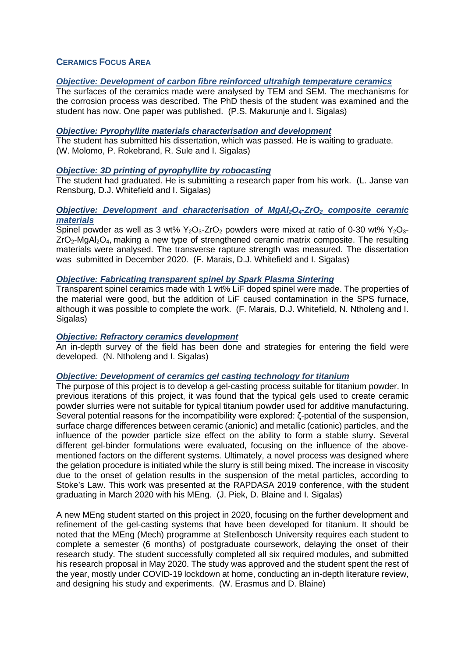# **CERAMICS FOCUS AREA**

## *Objective: Development of carbon fibre reinforced ultrahigh temperature ceramics*

The surfaces of the ceramics made were analysed by TEM and SEM. The mechanisms for the corrosion process was described. The PhD thesis of the student was examined and the student has now. One paper was published. (P.S. Makurunje and I. Sigalas)

#### *Objective: Pyrophyllite materials characterisation and development*

The student has submitted his dissertation, which was passed. He is waiting to graduate. (W. Molomo, P. Rokebrand, R. Sule and I. Sigalas)

### *Objective: 3D printing of pyrophyllite by robocasting*

The student had graduated. He is submitting a research paper from his work. (L. Janse van Rensburg, D.J. Whitefield and I. Sigalas)

## *Objective: Development and characterisation of MgAl2O4-ZrO2 composite ceramic materials*

Spinel powder as well as 3 wt%  $Y_2O_3$ -ZrO<sub>2</sub> powders were mixed at ratio of 0-30 wt%  $Y_2O_3$ - $ZrO<sub>2</sub>$ -MgAl<sub>2</sub>O<sub>4</sub>, making a new type of strengthened ceramic matrix composite. The resulting materials were analysed. The transverse rapture strength was measured. The dissertation was submitted in December 2020. (F. Marais, D.J. Whitefield and I. Sigalas)

#### *Objective: Fabricating transparent spinel by Spark Plasma Sintering*

Transparent spinel ceramics made with 1 wt% LiF doped spinel were made. The properties of the material were good, but the addition of LiF caused contamination in the SPS furnace, although it was possible to complete the work. (F. Marais, D.J. Whitefield, N. Ntholeng and I. Sigalas)

### *Objective: Refractory ceramics development*

An in-depth survey of the field has been done and strategies for entering the field were developed. (N. Ntholeng and I. Sigalas)

### *Objective: Development of ceramics gel casting technology for titanium*

The purpose of this project is to develop a gel-casting process suitable for titanium powder. In previous iterations of this project, it was found that the typical gels used to create ceramic powder slurries were not suitable for typical titanium powder used for additive manufacturing. Several potential reasons for the incompatibility were explored: ζ-potential of the suspension, surface charge differences between ceramic (anionic) and metallic (cationic) particles, and the influence of the powder particle size effect on the ability to form a stable slurry. Several different gel-binder formulations were evaluated, focusing on the influence of the abovementioned factors on the different systems. Ultimately, a novel process was designed where the gelation procedure is initiated while the slurry is still being mixed. The increase in viscosity due to the onset of gelation results in the suspension of the metal particles, according to Stoke's Law. This work was presented at the RAPDASA 2019 conference, with the student graduating in March 2020 with his MEng. (J. Piek, D. Blaine and I. Sigalas)

A new MEng student started on this project in 2020, focusing on the further development and refinement of the gel-casting systems that have been developed for titanium. It should be noted that the MEng (Mech) programme at Stellenbosch University requires each student to complete a semester (6 months) of postgraduate coursework, delaying the onset of their research study. The student successfully completed all six required modules, and submitted his research proposal in May 2020. The study was approved and the student spent the rest of the year, mostly under COVID-19 lockdown at home, conducting an in-depth literature review, and designing his study and experiments. (W. Erasmus and D. Blaine)